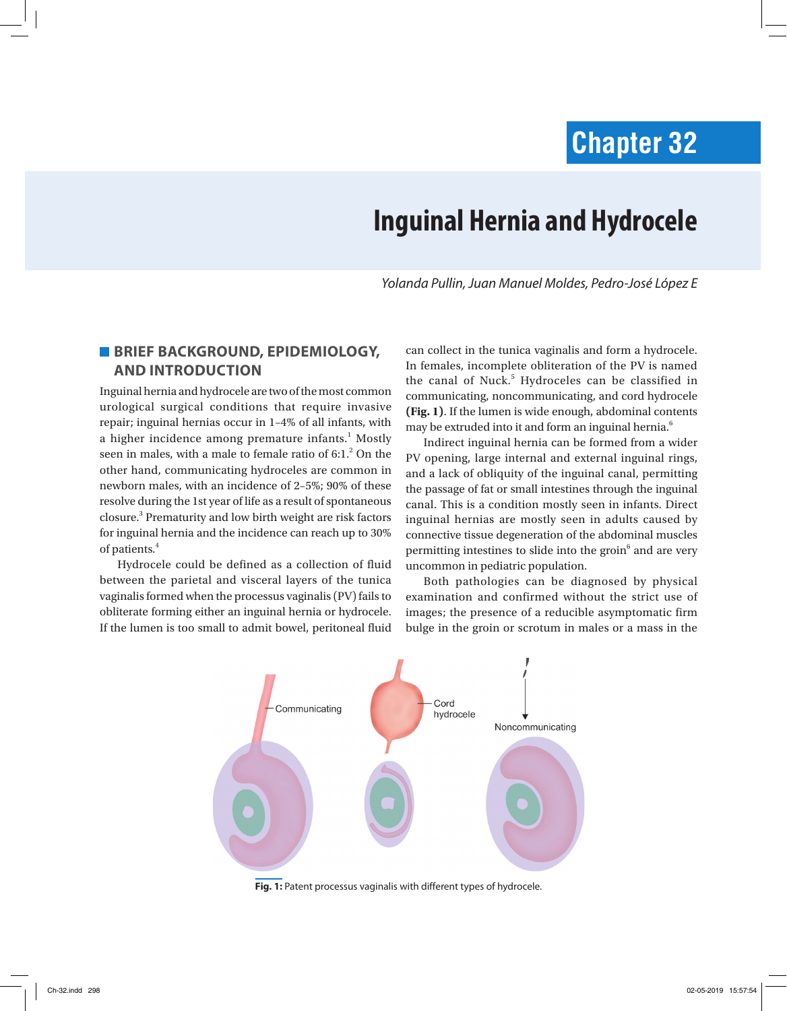# **Chapter 32**

# **Inguinal Hernia and Hydrocele**

*Yolanda Pullin, Juan Manuel Moldes, Pedro-José López E*

## **BRIEF BACKGROUND, EPIDEMIOLOGY, AND INTRODUCTION**

Inguinal hernia and hydrocele are two of the most common urological surgical conditions that require invasive repair; inguinal hernias occur in 1–4% of all infants, with a higher incidence among premature infants.<sup>1</sup> Mostly seen in males, with a male to female ratio of 6:1.<sup>2</sup> On the other hand, communicating hydroceles are common in newborn males, with an incidence of 2–5%; 90% of these resolve during the 1st year of life as a result of spontaneous closure.3 Prematurity and low birth weight are risk factors for inguinal hernia and the incidence can reach up to 30% of patients.<sup>4</sup>

Hydrocele could be defined as a collection of fluid between the parietal and visceral layers of the tunica vaginalis formed when the processus vaginalis (PV) fails to obliterate forming either an inguinal hernia or hydrocele. If the lumen is too small to admit bowel, peritoneal fluid

can collect in the tunica vaginalis and form a hydrocele. In females, incomplete obliteration of the PV is named the canal of Nuck.<sup>5</sup> Hydroceles can be classified in communicating, noncommunicating, and cord hydrocele **(Fig. 1)**. If the lumen is wide enough, abdominal contents may be extruded into it and form an inguinal hernia.<sup>6</sup>

Indirect inguinal hernia can be formed from a wider PV opening, large internal and external inguinal rings, and a lack of obliquity of the inguinal canal, permitting the passage of fat or small intestines through the inguinal canal. This is a condition mostly seen in infants. Direct inguinal hernias are mostly seen in adults caused by connective tissue degeneration of the abdominal muscles permitting intestines to slide into the groin<sup>6</sup> and are very uncommon in pediatric population.

Both pathologies can be diagnosed by physical examination and confirmed without the strict use of images; the presence of a reducible asymptomatic firm bulge in the groin or scrotum in males or a mass in the



**Fig. 1:** Patent processus vaginalis with different types of hydrocele.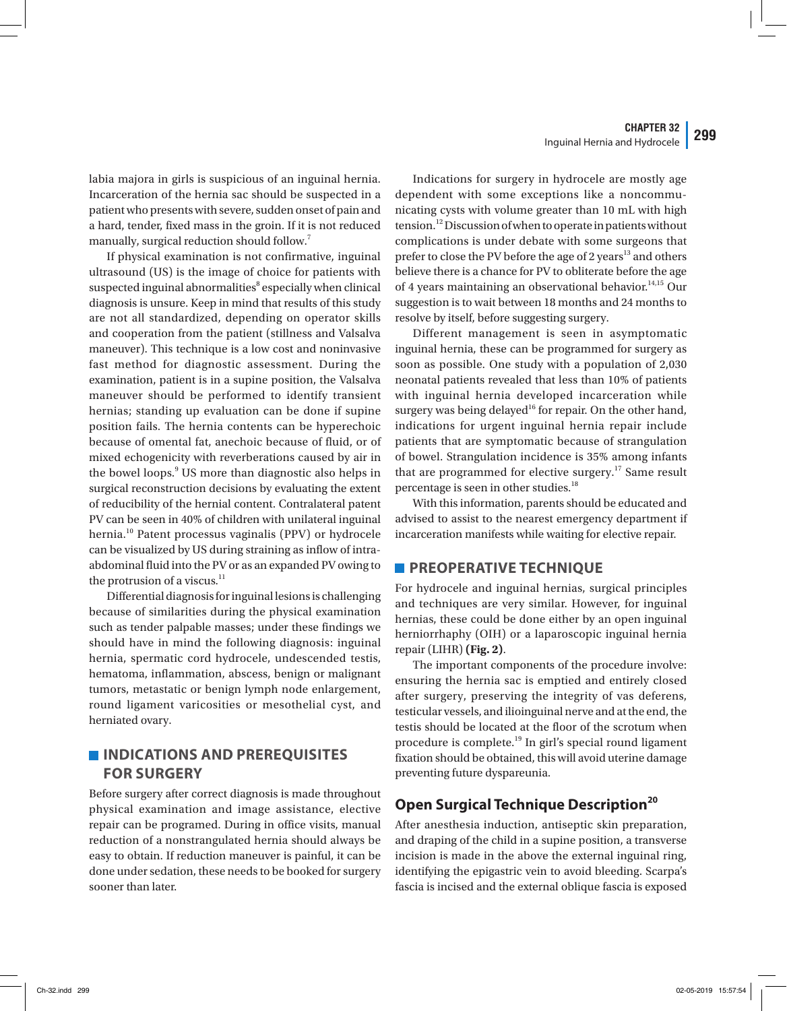labia majora in girls is suspicious of an inguinal hernia. Incarceration of the hernia sac should be suspected in a patient who presents with severe, sudden onset of pain and a hard, tender, fixed mass in the groin. If it is not reduced manually, surgical reduction should follow.<sup>7</sup>

If physical examination is not confirmative, inguinal ultrasound (US) is the image of choice for patients with suspected inguinal abnormalities<sup>8</sup> especially when clinical diagnosis is unsure. Keep in mind that results of this study are not all standardized, depending on operator skills and cooperation from the patient (stillness and Valsalva maneuver). This technique is a low cost and noninvasive fast method for diagnostic assessment. During the examination, patient is in a supine position, the Valsalva maneuver should be performed to identify transient hernias; standing up evaluation can be done if supine position fails. The hernia contents can be hyperechoic because of omental fat, anechoic because of fluid, or of mixed echogenicity with reverberations caused by air in the bowel loops.<sup>9</sup> US more than diagnostic also helps in surgical reconstruction decisions by evaluating the extent of reducibility of the hernial content. Contralateral patent PV can be seen in 40% of children with unilateral inguinal hernia.<sup>10</sup> Patent processus vaginalis (PPV) or hydrocele can be visualized by US during straining as inflow of intraabdominal fluid into the PV or as an expanded PV owing to the protrusion of a viscus. $^{11}$ 

Differential diagnosis for inguinal lesions is challenging because of similarities during the physical examination such as tender palpable masses; under these findings we should have in mind the following diagnosis: inguinal hernia, spermatic cord hydrocele, undescended testis, hematoma, inflammation, abscess, benign or malignant tumors, metastatic or benign lymph node enlargement, round ligament varicosities or mesothelial cyst, and herniated ovary.

# **INDICATIONS AND PREREQUISITES FOR SURGERY**

Before surgery after correct diagnosis is made throughout physical examination and image assistance, elective repair can be programed. During in office visits, manual reduction of a nonstrangulated hernia should always be easy to obtain. If reduction maneuver is painful, it can be done under sedation, these needs to be booked for surgery sooner than later.

Indications for surgery in hydrocele are mostly age dependent with some exceptions like a noncommunicating cysts with volume greater than 10 mL with high tension.<sup>12</sup> Discussion of when to operate in patients without complications is under debate with some surgeons that prefer to close the PV before the age of 2 years<sup>13</sup> and others believe there is a chance for PV to obliterate before the age of 4 years maintaining an observational behavior.<sup>14,15</sup> Our suggestion is to wait between 18 months and 24 months to resolve by itself, before suggesting surgery.

Different management is seen in asymptomatic inguinal hernia, these can be programmed for surgery as soon as possible. One study with a population of 2,030 neonatal patients revealed that less than 10% of patients with inguinal hernia developed incarceration while surgery was being delayed<sup>16</sup> for repair. On the other hand, indications for urgent inguinal hernia repair include patients that are symptomatic because of strangulation of bowel. Strangulation incidence is 35% among infants that are programmed for elective surgery.<sup>17</sup> Same result percentage is seen in other studies.<sup>18</sup>

With this information, parents should be educated and advised to assist to the nearest emergency department if incarceration manifests while waiting for elective repair.

### **PREOPERATIVE TECHNIQUE**

For hydrocele and inguinal hernias, surgical principles and techniques are very similar. However, for inguinal hernias, these could be done either by an open inguinal herniorrhaphy (OIH) or a laparoscopic inguinal hernia repair (LIHR) **(Fig. 2)**.

The important components of the procedure involve: ensuring the hernia sac is emptied and entirely closed after surgery, preserving the integrity of vas deferens, testicular vessels, and ilioinguinal nerve and at the end, the testis should be located at the floor of the scrotum when procedure is complete.<sup>19</sup> In girl's special round ligament fixation should be obtained, this will avoid uterine damage preventing future dyspareunia.

## **Open Surgical Technique Description20**

After anesthesia induction, antiseptic skin preparation, and draping of the child in a supine position, a transverse incision is made in the above the external inguinal ring, identifying the epigastric vein to avoid bleeding. Scarpa's fascia is incised and the external oblique fascia is exposed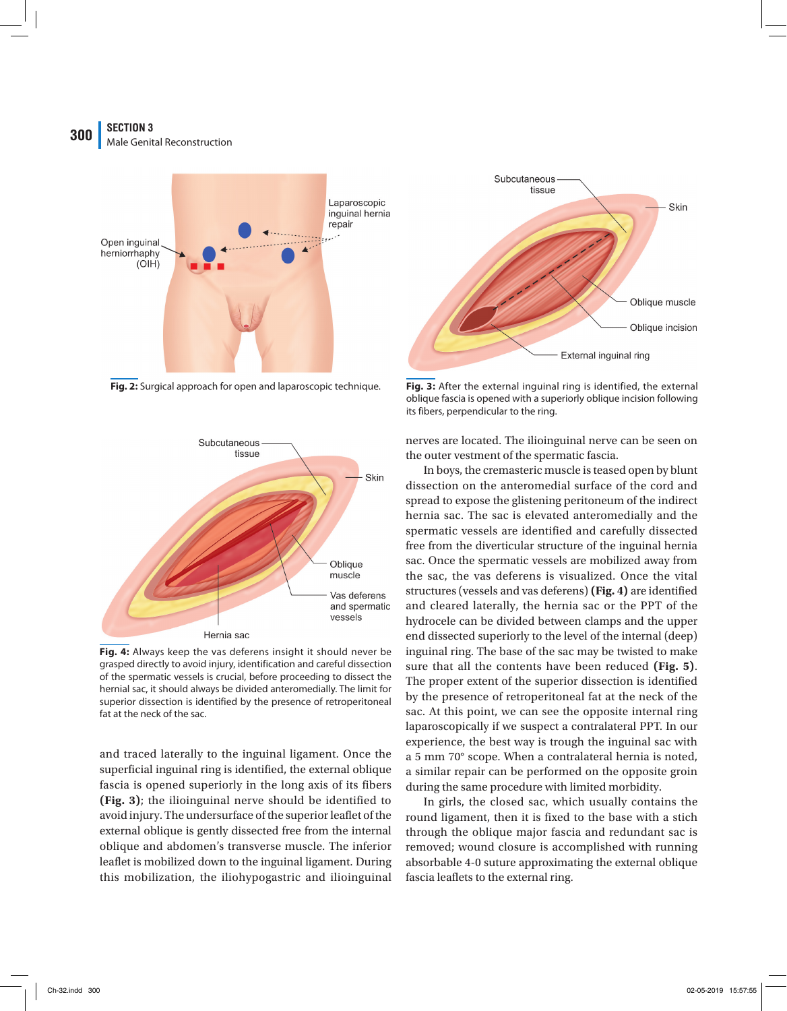## **SECTION 3 300 Male Genital Reconstruction**





**Fig. 4:** Always keep the vas deferens insight it should never be grasped directly to avoid injury, identification and careful dissection of the spermatic vessels is crucial, before proceeding to dissect the hernial sac, it should always be divided anteromedially. The limit for superior dissection is identified by the presence of retroperitoneal fat at the neck of the sac.

and traced laterally to the inguinal ligament. Once the superficial inguinal ring is identified, the external oblique fascia is opened superiorly in the long axis of its fibers **(Fig. 3)**; the ilioinguinal nerve should be identified to avoid injury. The undersurface of the superior leaflet of the external oblique is gently dissected free from the internal oblique and abdomen's transverse muscle. The inferior leaflet is mobilized down to the inguinal ligament. During this mobilization, the iliohypogastric and ilioinguinal



**Fig. 2:** Surgical approach for open and laparoscopic technique. **Fig. 3:** After the external inguinal ring is identified, the external oblique fascia is opened with a superiorly oblique incision following its fibers, perpendicular to the ring.

nerves are located. The ilioinguinal nerve can be seen on the outer vestment of the spermatic fascia.

In boys, the cremasteric muscle is teased open by blunt dissection on the anteromedial surface of the cord and spread to expose the glistening peritoneum of the indirect hernia sac. The sac is elevated anteromedially and the spermatic vessels are identified and carefully dissected free from the diverticular structure of the inguinal hernia sac. Once the spermatic vessels are mobilized away from the sac, the vas deferens is visualized. Once the vital structures (vessels and vas deferens) **(Fig. 4)** are identified and cleared laterally, the hernia sac or the PPT of the hydrocele can be divided between clamps and the upper end dissected superiorly to the level of the internal (deep) inguinal ring. The base of the sac may be twisted to make sure that all the contents have been reduced **(Fig. 5)**. The proper extent of the superior dissection is identified by the presence of retroperitoneal fat at the neck of the sac. At this point, we can see the opposite internal ring laparoscopically if we suspect a contralateral PPT. In our experience, the best way is trough the inguinal sac with a 5 mm 70° scope. When a contralateral hernia is noted, a similar repair can be performed on the opposite groin during the same procedure with limited morbidity.

In girls, the closed sac, which usually contains the round ligament, then it is fixed to the base with a stich through the oblique major fascia and redundant sac is removed; wound closure is accomplished with running absorbable 4-0 suture approximating the external oblique fascia leaflets to the external ring.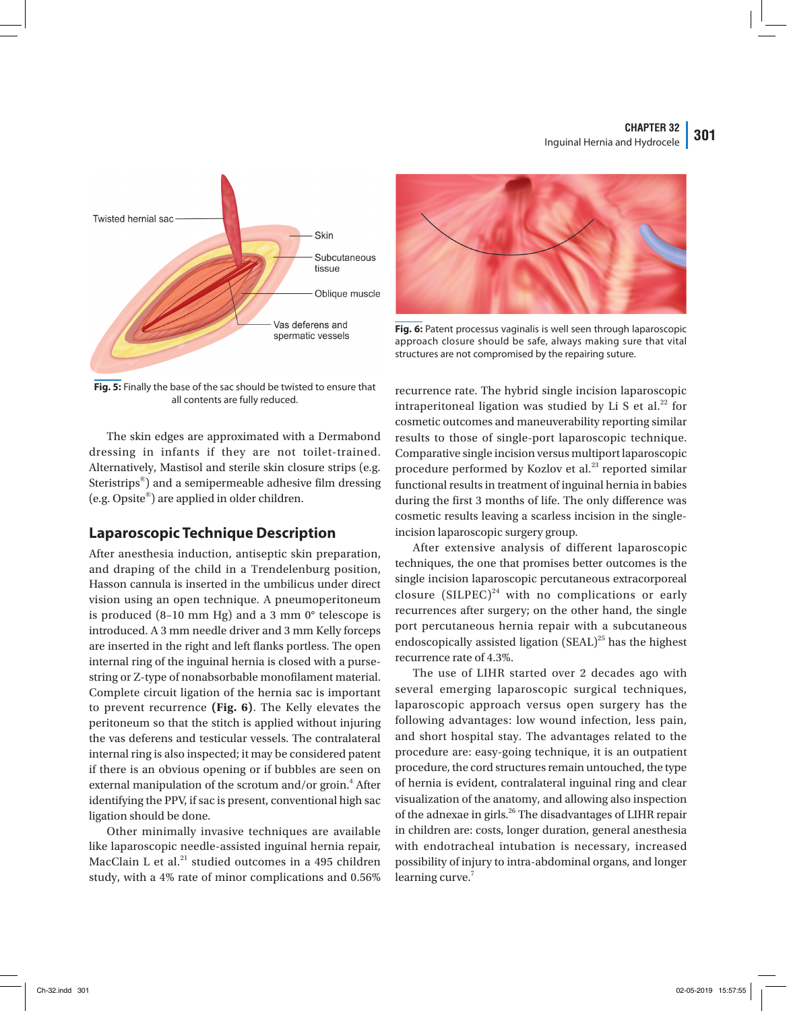#### **CHAPTER 32** Inguinal Hernia and Hydrocele **301**



**Fig. 5:** Finally the base of the sac should be twisted to ensure that all contents are fully reduced.

The skin edges are approximated with a Dermabond dressing in infants if they are not toilet-trained. Alternatively, Mastisol and sterile skin closure strips (e.g. Steristrips®) and a semipermeable adhesive film dressing (e.g. Opsite®) are applied in older children.

## **Laparoscopic Technique Description**

After anesthesia induction, antiseptic skin preparation, and draping of the child in a Trendelenburg position, Hasson cannula is inserted in the umbilicus under direct vision using an open technique. A pneumoperitoneum is produced (8–10 mm Hg) and a 3 mm 0° telescope is introduced. A 3 mm needle driver and 3 mm Kelly forceps are inserted in the right and left flanks portless. The open internal ring of the inguinal hernia is closed with a pursestring or Z-type of nonabsorbable monofilament material. Complete circuit ligation of the hernia sac is important to prevent recurrence **(Fig. 6)**. The Kelly elevates the peritoneum so that the stitch is applied without injuring the vas deferens and testicular vessels. The contralateral internal ring is also inspected; it may be considered patent if there is an obvious opening or if bubbles are seen on external manipulation of the scrotum and/or groin.<sup>4</sup> After identifying the PPV, if sac is present, conventional high sac ligation should be done.

Other minimally invasive techniques are available like laparoscopic needle-assisted inguinal hernia repair, MacClain L et al. $^{21}$  studied outcomes in a 495 children study, with a 4% rate of minor complications and 0.56%



**Fig. 6:** Patent processus vaginalis is well seen through laparoscopic approach closure should be safe, always making sure that vital structures are not compromised by the repairing suture.

recurrence rate. The hybrid single incision laparoscopic intraperitoneal ligation was studied by Li S et al.<sup>22</sup> for cosmetic outcomes and maneuverability reporting similar results to those of single-port laparoscopic technique. Comparative single incision versus multiport laparoscopic procedure performed by Kozlov et al.<sup>23</sup> reported similar functional results in treatment of inguinal hernia in babies during the first 3 months of life. The only difference was cosmetic results leaving a scarless incision in the singleincision laparoscopic surgery group.

After extensive analysis of different laparoscopic techniques, the one that promises better outcomes is the single incision laparoscopic percutaneous extracorporeal closure (SILPEC)<sup>24</sup> with no complications or early recurrences after surgery; on the other hand, the single port percutaneous hernia repair with a subcutaneous endoscopically assisted ligation  $(SEAL)^{25}$  has the highest recurrence rate of 4.3%.

The use of LIHR started over 2 decades ago with several emerging laparoscopic surgical techniques, laparoscopic approach versus open surgery has the following advantages: low wound infection, less pain, and short hospital stay. The advantages related to the procedure are: easy-going technique, it is an outpatient procedure, the cord structures remain untouched, the type of hernia is evident, contralateral inguinal ring and clear visualization of the anatomy, and allowing also inspection of the adnexae in girls.<sup>26</sup> The disadvantages of LIHR repair in children are: costs, longer duration, general anesthesia with endotracheal intubation is necessary, increased possibility of injury to intra-abdominal organs, and longer learning curve.<sup>7</sup>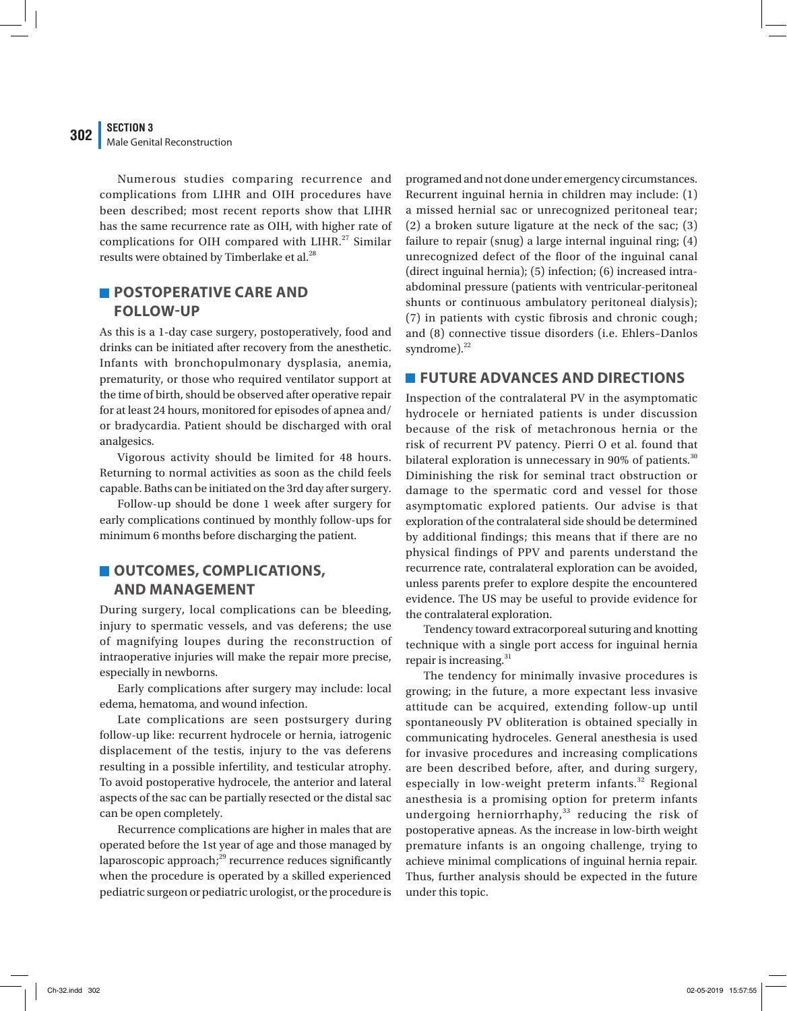#### **SECTION 3 302** Male Genital Reconstruction

Numerous studies comparing recurrence and complications from LIHR and OIH procedures have been described; most recent reports show that LIHR has the same recurrence rate as OIH, with higher rate of complications for OIH compared with LIHR. $^{27}$  Similar results were obtained by Timberlake et al.<sup>28</sup>

# **POSTOPERATIVE CARE AND FOLLOW-UP**

As this is a 1-day case surgery, postoperatively, food and drinks can be initiated after recovery from the anesthetic. Infants with bronchopulmonary dysplasia, anemia, prematurity, or those who required ventilator support at the time of birth, should be observed after operative repair for at least 24 hours, monitored for episodes of apnea and/ or bradycardia. Patient should be discharged with oral analgesics.

Vigorous activity should be limited for 48 hours. Returning to normal activities as soon as the child feels capable. Baths can be initiated on the 3rd day after surgery.

Follow-up should be done 1 week after surgery for early complications continued by monthly follow-ups for minimum 6 months before discharging the patient.

## **OUTCOMES, COMPLICATIONS, AND MANAGEMENT**

During surgery, local complications can be bleeding, injury to spermatic vessels, and vas deferens; the use of magnifying loupes during the reconstruction of intraoperative injuries will make the repair more precise, especially in newborns.

Early complications after surgery may include: local edema, hematoma, and wound infection.

Late complications are seen postsurgery during follow-up like: recurrent hydrocele or hernia, iatrogenic displacement of the testis, injury to the vas deferens resulting in a possible infertility, and testicular atrophy. To avoid postoperative hydrocele, the anterior and lateral aspects of the sac can be partially resected or the distal sac can be open completely.

Recurrence complications are higher in males that are operated before the 1st year of age and those managed by laparoscopic approach;<sup>29</sup> recurrence reduces significantly when the procedure is operated by a skilled experienced pediatric surgeon or pediatric urologist, or the procedure is

programed and not done under emergency circumstances. Recurrent inguinal hernia in children may include: (1) a missed hernial sac or unrecognized peritoneal tear; (2) a broken suture ligature at the neck of the sac; (3) failure to repair (snug) a large internal inguinal ring; (4) unrecognized defect of the floor of the inguinal canal (direct inguinal hernia); (5) infection; (6) increased intraabdominal pressure (patients with ventricular-peritoneal shunts or continuous ambulatory peritoneal dialysis); (7) in patients with cystic fibrosis and chronic cough; and (8) connective tissue disorders (i.e. Ehlers–Danlos syndrome). $^{22}$ 

## **FUTURE ADVANCES AND DIRECTIONS**

Inspection of the contralateral PV in the asymptomatic hydrocele or herniated patients is under discussion because of the risk of metachronous hernia or the risk of recurrent PV patency. Pierri O et al. found that bilateral exploration is unnecessary in 90% of patients. $30$ Diminishing the risk for seminal tract obstruction or damage to the spermatic cord and vessel for those asymptomatic explored patients. Our advise is that exploration of the contralateral side should be determined by additional findings; this means that if there are no physical findings of PPV and parents understand the recurrence rate, contralateral exploration can be avoided, unless parents prefer to explore despite the encountered evidence. The US may be useful to provide evidence for the contralateral exploration.

Tendency toward extracorporeal suturing and knotting technique with a single port access for inguinal hernia repair is increasing. $31$ 

The tendency for minimally invasive procedures is growing; in the future, a more expectant less invasive attitude can be acquired, extending follow-up until spontaneously PV obliteration is obtained specially in communicating hydroceles. General anesthesia is used for invasive procedures and increasing complications are been described before, after, and during surgery, especially in low-weight preterm infants.<sup>32</sup> Regional anesthesia is a promising option for preterm infants undergoing herniorrhaphy, $33$  reducing the risk of postoperative apneas. As the increase in low-birth weight premature infants is an ongoing challenge, trying to achieve minimal complications of inguinal hernia repair. Thus, further analysis should be expected in the future under this topic.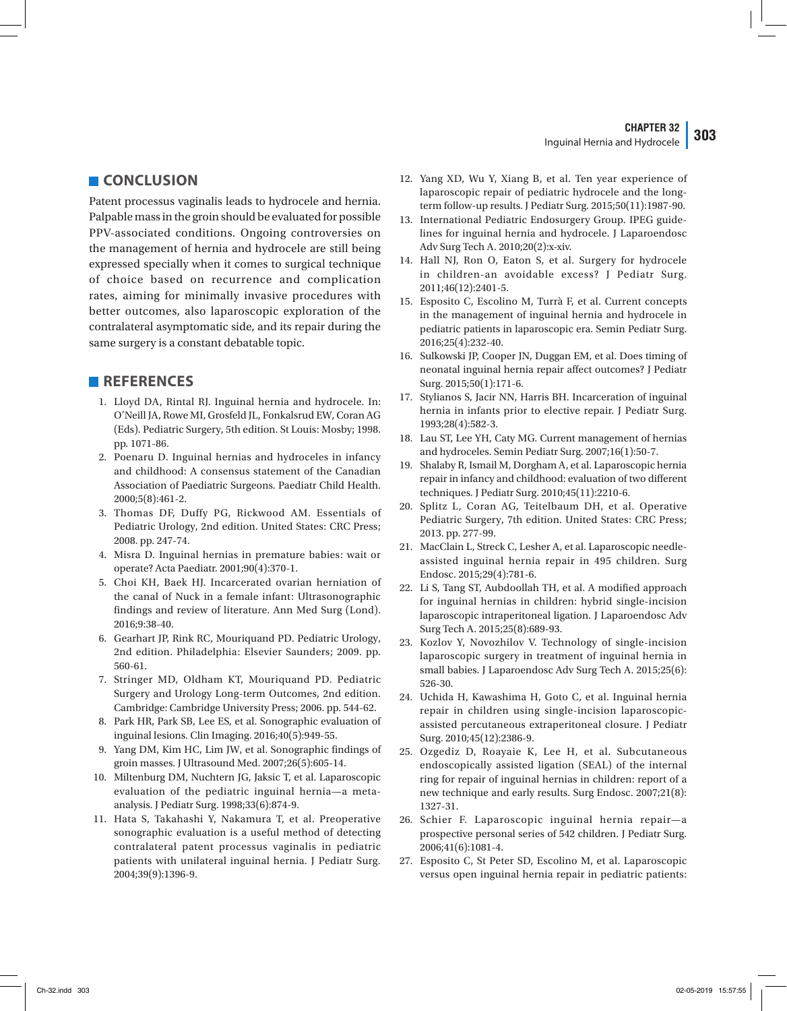#### **CHAPTER 32** Inguinal Hernia and Hydrocele **303**

**CONCLUSION** 

Patent processus vaginalis leads to hydrocele and hernia. Palpable mass in the groin should be evaluated for possible PPV-associated conditions. Ongoing controversies on the management of hernia and hydrocele are still being expressed specially when it comes to surgical technique of choice based on recurrence and complication rates, aiming for minimally invasive procedures with better outcomes, also laparoscopic exploration of the contralateral asymptomatic side, and its repair during the same surgery is a constant debatable topic.

## **REFERENCES**

- 1. Lloyd DA, Rintal RJ. Inguinal hernia and hydrocele. In: O'Neill JA, Rowe MI, Grosfeld JL, Fonkalsrud EW, Coran AG (Eds). Pediatric Surgery, 5th edition. St Louis: Mosby; 1998. pp. 1071-86.
- 2. Poenaru D. Inguinal hernias and hydroceles in infancy and childhood: A consensus statement of the Canadian Association of Paediatric Surgeons. Paediatr Child Health. 2000;5(8):461-2.
- 3. Thomas DF, Duffy PG, Rickwood AM. Essentials of Pediatric Urology, 2nd edition. United States: CRC Press; 2008. pp. 247-74.
- 4. Misra D. Inguinal hernias in premature babies: wait or operate? Acta Paediatr. 2001;90(4):370-1.
- 5. Choi KH, Baek HJ. Incarcerated ovarian herniation of the canal of Nuck in a female infant: Ultrasonographic findings and review of literature. Ann Med Surg (Lond). 2016;9:38-40.
- 6. Gearhart JP, Rink RC, Mouriquand PD. Pediatric Urology, 2nd edition. Philadelphia: Elsevier Saunders; 2009. pp. 560-61.
- 7. Stringer MD, Oldham KT, Mouriquand PD. Pediatric Surgery and Urology Long-term Outcomes, 2nd edition. Cambridge: Cambridge University Press; 2006. pp. 544-62.
- 8. Park HR, Park SB, Lee ES, et al. Sonographic evaluation of inguinal lesions. Clin Imaging. 2016;40(5):949-55.
- 9. Yang DM, Kim HC, Lim JW, et al. Sonographic findings of groin masses. J Ultrasound Med. 2007;26(5):605-14.
- 10. Miltenburg DM, Nuchtern JG, Jaksic T, et al. Laparoscopic evaluation of the pediatric inguinal hernia—a metaanalysis. J Pediatr Surg. 1998;33(6):874-9.
- 11. Hata S, Takahashi Y, Nakamura T, et al. Preoperative sonographic evaluation is a useful method of detecting contralateral patent processus vaginalis in pediatric patients with unilateral inguinal hernia. J Pediatr Surg. 2004;39(9):1396-9.
- 12. Yang XD, Wu Y, Xiang B, et al. Ten year experience of laparoscopic repair of pediatric hydrocele and the longterm follow-up results. J Pediatr Surg. 2015;50(11):1987-90.
- 13. International Pediatric Endosurgery Group. IPEG guidelines for inguinal hernia and hydrocele. J Laparoendosc Adv Surg Tech A. 2010;20(2):x-xiv.
- 14. Hall NJ, Ron O, Eaton S, et al. Surgery for hydrocele in children-an avoidable excess? J Pediatr Surg. 2011;46(12):2401-5.
- 15. Esposito C, Escolino M, Turrà F, et al. Current concepts in the management of inguinal hernia and hydrocele in pediatric patients in laparoscopic era. Semin Pediatr Surg. 2016;25(4):232-40.
- 16. Sulkowski JP, Cooper JN, Duggan EM, et al. Does timing of neonatal inguinal hernia repair affect outcomes? J Pediatr Surg. 2015;50(1):171-6.
- 17. Stylianos S, Jacir NN, Harris BH. Incarceration of inguinal hernia in infants prior to elective repair. J Pediatr Surg. 1993;28(4):582-3.
- 18. Lau ST, Lee YH, Caty MG. Current management of hernias and hydroceles. Semin Pediatr Surg. 2007;16(1):50-7.
- 19. Shalaby R, Ismail M, Dorgham A, et al. Laparoscopic hernia repair in infancy and childhood: evaluation of two different techniques. J Pediatr Surg. 2010;45(11):2210-6.
- 20. Splitz L, Coran AG, Teitelbaum DH, et al. Operative Pediatric Surgery, 7th edition. United States: CRC Press; 2013. pp. 277-99.
- 21. MacClain L, Streck C, Lesher A, et al. Laparoscopic needleassisted inguinal hernia repair in 495 children. Surg Endosc. 2015;29(4):781-6.
- 22. Li S, Tang ST, Aubdoollah TH, et al. A modified approach for inguinal hernias in children: hybrid single-incision laparoscopic intraperitoneal ligation. J Laparoendosc Adv Surg Tech A. 2015;25(8):689-93.
- 23. Kozlov Y, Novozhilov V. Technology of single-incision laparoscopic surgery in treatment of inguinal hernia in small babies. J Laparoendosc Adv Surg Tech A. 2015;25(6): 526-30.
- 24. Uchida H, Kawashima H, Goto C, et al. Inguinal hernia repair in children using single-incision laparoscopicassisted percutaneous extraperitoneal closure. J Pediatr Surg. 2010;45(12):2386-9.
- 25. Ozgediz D, Roayaie K, Lee H, et al. Subcutaneous endoscopically assisted ligation (SEAL) of the internal ring for repair of inguinal hernias in children: report of a new technique and early results. Surg Endosc. 2007;21(8): 1327-31.
- 26. Schier F. Laparoscopic inguinal hernia repair—a prospective personal series of 542 children. J Pediatr Surg. 2006;41(6):1081-4.
- 27. Esposito C, St Peter SD, Escolino M, et al. Laparoscopic versus open inguinal hernia repair in pediatric patients: